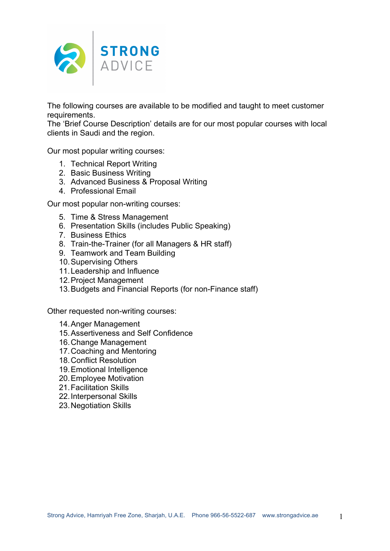

The following courses are available to be modified and taught to meet customer requirements.

The 'Brief Course Description' details are for our most popular courses with local clients in Saudi and the region.

Our most popular writing courses:

- 1. Technical Report Writing
- 2. Basic Business Writing
- 3. Advanced Business & Proposal Writing
- 4. Professional Email

Our most popular non-writing courses:

- 5. Time & Stress Management
- 6. Presentation Skills (includes Public Speaking)
- 7. Business Ethics
- 8. Train-the-Trainer (for all Managers & HR staff)
- 9. Teamwork and Team Building
- 10.Supervising Others
- 11.Leadership and Influence
- 12.Project Management
- 13.Budgets and Financial Reports (for non-Finance staff)

Other requested non-writing courses:

- 14.Anger Management
- 15.Assertiveness and Self Confidence
- 16.Change Management
- 17.Coaching and Mentoring
- 18.Conflict Resolution
- 19.Emotional Intelligence
- 20.Employee Motivation
- 21.Facilitation Skills
- 22.Interpersonal Skills
- 23.Negotiation Skills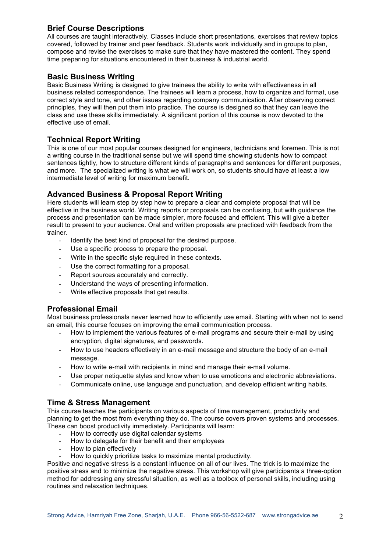# **Brief Course Descriptions**

All courses are taught interactively. Classes include short presentations, exercises that review topics covered, followed by trainer and peer feedback. Students work individually and in groups to plan, compose and revise the exercises to make sure that they have mastered the content. They spend time preparing for situations encountered in their business & industrial world.

## **Basic Business Writing**

Basic Business Writing is designed to give trainees the ability to write with effectiveness in all business related correspondence. The trainees will learn a process, how to organize and format, use correct style and tone, and other issues regarding company communication. After observing correct principles, they will then put them into practice. The course is designed so that they can leave the class and use these skills immediately. A significant portion of this course is now devoted to the effective use of email.

## **Technical Report Writing**

This is one of our most popular courses designed for engineers, technicians and foremen. This is not a writing course in the traditional sense but we will spend time showing students how to compact sentences tightly, how to structure different kinds of paragraphs and sentences for different purposes, and more. The specialized writing is what we will work on, so students should have at least a low intermediate level of writing for maximum benefit.

### **Advanced Business & Proposal Report Writing**

Here students will learn step by step how to prepare a clear and complete proposal that will be effective in the business world. Writing reports or proposals can be confusing, but with guidance the process and presentation can be made simpler, more focused and efficient. This will give a better result to present to your audience. Oral and written proposals are practiced with feedback from the trainer.

- Identify the best kind of proposal for the desired purpose.
- Use a specific process to prepare the proposal.
- Write in the specific style required in these contexts.
- Use the correct formatting for a proposal.
- Report sources accurately and correctly.
- Understand the ways of presenting information.
- Write effective proposals that get results.

### **Professional Email**

Most business professionals never learned how to efficiently use email. Starting with when not to send an email, this course focuses on improving the email communication process.

- How to implement the various features of e-mail programs and secure their e-mail by using encryption, digital signatures, and passwords.
- How to use headers effectively in an e-mail message and structure the body of an e-mail message.
- How to write e-mail with recipients in mind and manage their e-mail volume.
- Use proper netiquette styles and know when to use emoticons and electronic abbreviations.
- Communicate online, use language and punctuation, and develop efficient writing habits.

### **Time & Stress Management**

This course teaches the participants on various aspects of time management, productivity and planning to get the most from everything they do. The course covers proven systems and processes. These can boost productivity immediately. Participants will learn:

- How to correctly use digital calendar systems
- How to delegate for their benefit and their employees
- How to plan effectively
- How to quickly prioritize tasks to maximize mental productivity.

Positive and negative stress is a constant influence on all of our lives. The trick is to maximize the positive stress and to minimize the negative stress. This workshop will give participants a three-option method for addressing any stressful situation, as well as a toolbox of personal skills, including using routines and relaxation techniques.